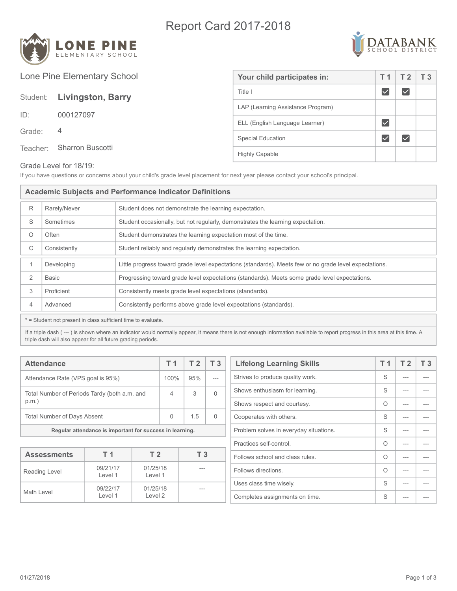## Report Card 2017-2018





Lone Pine Elementary School Your child participates in:  $\boxed{71}$  T 2 T 3  $\blacktriangledown$ Title I  $\blacktriangledown$ Student: **Livingston, Barry** LAP (Learning Assistance Program) ID: 000127097 ELL (English Language Learner)  $\blacktriangledown$ Grade: 4  $\blacktriangledown$  $\boxed{\checkmark}$ Special Education Teacher: Sharron Buscotti Highly Capable

## Grade Level for 18/19:

If you have questions or concerns about your child's grade level placement for next year please contact your school's principal.

| <b>Academic Subjects and Performance Indicator Definitions</b> |              |                                                                                                        |  |
|----------------------------------------------------------------|--------------|--------------------------------------------------------------------------------------------------------|--|
| R                                                              | Rarely/Never | Student does not demonstrate the learning expectation.                                                 |  |
| S                                                              | Sometimes    | Student occasionally, but not regularly, demonstrates the learning expectation.                        |  |
| O                                                              | Often        | Student demonstrates the learning expectation most of the time.                                        |  |
| С                                                              | Consistently | Student reliably and regularly demonstrates the learning expectation.                                  |  |
| $\mathbf{1}$                                                   | Developing   | Little progress toward grade level expectations (standards). Meets few or no grade level expectations. |  |
| 2                                                              | <b>Basic</b> | Progressing toward grade level expectations (standards). Meets some grade level expectations.          |  |
| 3                                                              | Proficient   | Consistently meets grade level expectations (standards).                                               |  |
| $\overline{4}$                                                 | Advanced     | Consistently performs above grade level expectations (standards).                                      |  |
| * = Student not present in class sufficient time to evaluate.  |              |                                                                                                        |  |

If a triple dash (---) is shown where an indicator would normally appear, it means there is not enough information available to report progress in this area at this time. A triple dash will also appear for all future grading periods.

| <b>Attendance</b>                                        |      | T <sub>2</sub> | T <sub>3</sub> |
|----------------------------------------------------------|------|----------------|----------------|
| Attendance Rate (VPS goal is 95%)                        | 100% | 95%            |                |
| Total Number of Periods Tardy (both a.m. and<br>p.m.     |      | 3              |                |
| <b>Total Number of Days Absent</b>                       |      | 1.5            |                |
| Regular attendance is important for success in learning. |      |                |                |

| <b>Assessments</b> | T 1                 | T <sub>2</sub>      | T <sub>3</sub> |
|--------------------|---------------------|---------------------|----------------|
| Reading Level      | 09/21/17<br>Level 1 | 01/25/18<br>Level 1 | ---            |
| Math Level         | 09/22/17<br>Level 1 | 01/25/18<br>Level 2 | ---            |

| <b>Lifelong Learning Skills</b>        |   | T <sub>2</sub> | T <sub>3</sub> |
|----------------------------------------|---|----------------|----------------|
| Strives to produce quality work.       |   |                |                |
| Shows enthusiasm for learning.         | S |                |                |
| Shows respect and courtesy.            | Ω |                |                |
| Cooperates with others.                |   |                |                |
| Problem solves in everyday situations. |   |                |                |
| Practices self-control.                |   |                |                |
| Follows school and class rules.        |   |                |                |
| Follows directions.                    |   |                |                |
| Uses class time wisely.                |   |                |                |
| Completes assignments on time.         |   |                |                |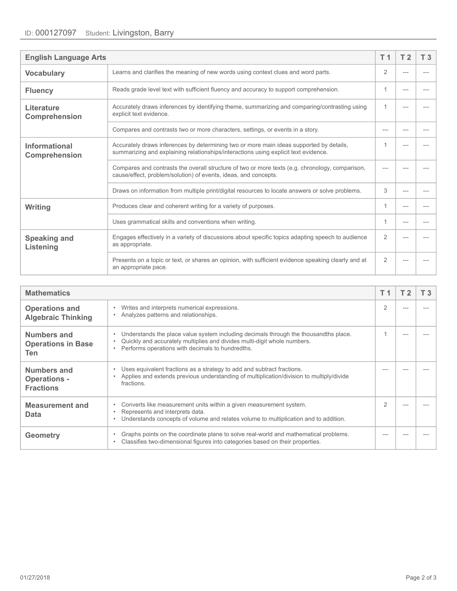| <b>English Language Arts</b>                                                                                                                            |                                                                                                                                                                                |                |     | T <sub>3</sub> |
|---------------------------------------------------------------------------------------------------------------------------------------------------------|--------------------------------------------------------------------------------------------------------------------------------------------------------------------------------|----------------|-----|----------------|
| <b>Vocabulary</b>                                                                                                                                       | Learns and clarifies the meaning of new words using context clues and word parts.                                                                                              |                |     |                |
| <b>Fluency</b>                                                                                                                                          | Reads grade level text with sufficient fluency and accuracy to support comprehension.                                                                                          | 1              | --- |                |
| Accurately draws inferences by identifying theme, summarizing and comparing/contrasting using<br>Literature<br>explicit text evidence.<br>Comprehension |                                                                                                                                                                                | 1              |     |                |
|                                                                                                                                                         | Compares and contrasts two or more characters, settings, or events in a story.                                                                                                 | ---            |     |                |
| <b>Informational</b><br>Comprehension                                                                                                                   | Accurately draws inferences by determining two or more main ideas supported by details,<br>summarizing and explaining relationships/interactions using explicit text evidence. |                |     |                |
|                                                                                                                                                         | Compares and contrasts the overall structure of two or more texts (e.g. chronology, comparison,<br>cause/effect, problem/solution) of events, ideas, and concepts.             |                |     |                |
|                                                                                                                                                         | Draws on information from multiple print/digital resources to locate answers or solve problems.                                                                                | 3              |     |                |
| Writing                                                                                                                                                 | Produces clear and coherent writing for a variety of purposes.                                                                                                                 | 1              |     |                |
|                                                                                                                                                         | Uses grammatical skills and conventions when writing.                                                                                                                          | 1              |     |                |
| <b>Speaking and</b><br>Listening                                                                                                                        | Engages effectively in a variety of discussions about specific topics adapting speech to audience<br>as appropriate.                                                           | $\overline{2}$ |     |                |
|                                                                                                                                                         | Presents on a topic or text, or shares an opinion, with sufficient evidence speaking clearly and at<br>an appropriate pace.                                                    | $\overline{2}$ |     |                |

| <b>Mathematics</b>                                     |                                                                                                                                                                                                                      | T 1 | T 3 |
|--------------------------------------------------------|----------------------------------------------------------------------------------------------------------------------------------------------------------------------------------------------------------------------|-----|-----|
| <b>Operations and</b><br><b>Algebraic Thinking</b>     | Writes and interprets numerical expressions.<br>Analyzes patterns and relationships.                                                                                                                                 | 2   |     |
| <b>Numbers and</b><br><b>Operations in Base</b><br>Ten | Understands the place value system including decimals through the thousandths place.<br>Quickly and accurately multiplies and divides multi-digit whole numbers.<br>Performs operations with decimals to hundredths. |     |     |
| Numbers and<br><b>Operations -</b><br><b>Fractions</b> | Uses equivalent fractions as a strategy to add and subtract fractions.<br>Applies and extends previous understanding of multiplication/division to multiply/divide<br>fractions.                                     |     |     |
| <b>Measurement and</b><br>Data                         | Converts like measurement units within a given measurement system.<br>Represents and interprets data.<br>Understands concepts of volume and relates volume to multiplication and to addition.                        | 2   |     |
| <b>Geometry</b>                                        | Graphs points on the coordinate plane to solve real-world and mathematical problems.<br>Classifies two-dimensional figures into categories based on their properties.                                                |     |     |